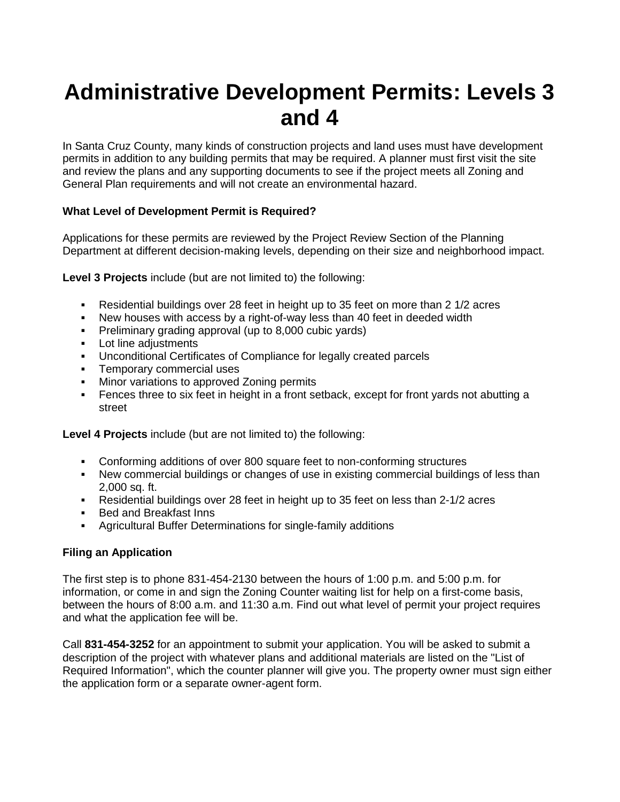# **Administrative Development Permits: Levels 3 and 4**

In Santa Cruz County, many kinds of construction projects and land uses must have development permits in addition to any building permits that may be required. A planner must first visit the site and review the plans and any supporting documents to see if the project meets all Zoning and General Plan requirements and will not create an environmental hazard.

# **What Level of Development Permit is Required?**

Applications for these permits are reviewed by the Project Review Section of the Planning Department at different decision-making levels, depending on their size and neighborhood impact.

**Level 3 Projects** include (but are not limited to) the following:

- Residential buildings over 28 feet in height up to 35 feet on more than 2 1/2 acres
- New houses with access by a right-of-way less than 40 feet in deeded width
- Preliminary grading approval (up to 8,000 cubic yards)
- **Lot line adjustments**
- Unconditional Certificates of Compliance for legally created parcels
- Temporary commercial uses
- **Minor variations to approved Zoning permits**
- Fences three to six feet in height in a front setback, except for front yards not abutting a street

**Level 4 Projects** include (but are not limited to) the following:

- Conforming additions of over 800 square feet to non-conforming structures
- New commercial buildings or changes of use in existing commercial buildings of less than 2,000 sq. ft.
- Residential buildings over 28 feet in height up to 35 feet on less than 2-1/2 acres
- Bed and Breakfast Inns
- Agricultural Buffer Determinations for single-family additions

## **Filing an Application**

The first step is to phone 831-454-2130 between the hours of 1:00 p.m. and 5:00 p.m. for information, or come in and sign the Zoning Counter waiting list for help on a first-come basis, between the hours of 8:00 a.m. and 11:30 a.m. Find out what level of permit your project requires and what the application fee will be.

Call **831-454-3252** for an appointment to submit your application. You will be asked to submit a description of the project with whatever plans and additional materials are listed on the "List of Required Information", which the counter planner will give you. The property owner must sign either the application form or a separate owner-agent form.